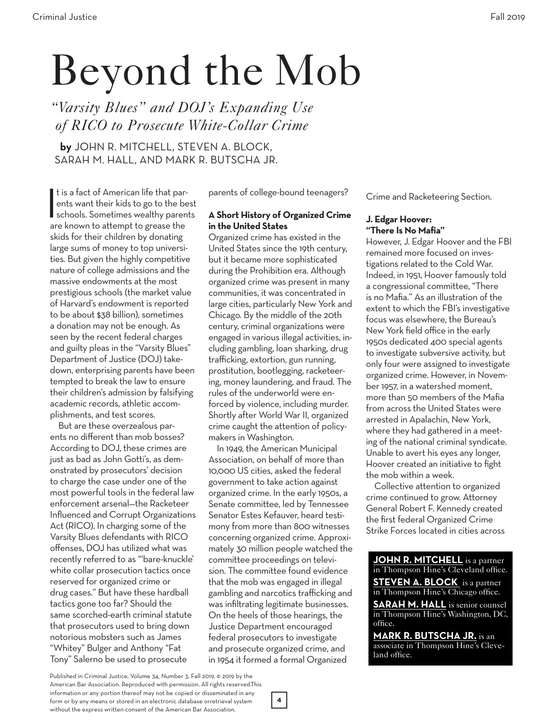# Beyond the Mob

*"Varsity Blues" and DOJ's Expanding Use of RICO to Prosecute White-Collar Crime*

**by** JOHN R. MITCHELL, STEVEN A. BLOCK, SARAH M. HALL, AND MARK R. BUTSCHA JR.

t is a fact of American life that parents want their kids to go to the best<br>schools. Sometimes wealthy parents<br>are known to attempt to grosse the t is a fact of American life that parents want their kids to go to the best are known to attempt to grease the skids for their children by donating large sums of money to top universities. But given the highly competitive nature of college admissions and the massive endowments at the most prestigious schools (the market value of Harvard's endowment is reported to be about \$38 billion), sometimes a donation may not be enough. As seen by the recent federal charges and guilty pleas in the "Varsity Blues" Department of Justice (DOJ) takedown, enterprising parents have been tempted to break the law to ensure their children's admission by falsifying academic records, athletic accomplishments, and test scores.

But are these overzealous parents no different than mob bosses? According to DOJ, these crimes are just as bad as John Gotti's, as demonstrated by prosecutors' decision to charge the case under one of the most powerful tools in the federal law enforcement arsenal—the Racketeer Influenced and Corrupt Organizations Act (RICO). In charging some of the Varsity Blues defendants with RICO offenses, DOJ has utilized what was recently referred to as "'bare-knuckle' white collar prosecution tactics once reserved for organized crime or drug cases." But have these hardball tactics gone too far? Should the same scorched-earth criminal statute that prosecutors used to bring down notorious mobsters such as James "Whitey" Bulger and Anthony "Fat Tony" Salerno be used to prosecute

parents of college-bound teenagers?

#### **A Short History of Organized Crime in the United States**

Organized crime has existed in the United States since the 19th century, but it became more sophisticated during the Prohibition era. Although organized crime was present in many communities, it was concentrated in large cities, particularly New York and Chicago. By the middle of the 20th century, criminal organizations were engaged in various illegal activities, including gambling, loan sharking, drug trafficking, extortion, gun running, prostitution, bootlegging, racketeering, money laundering, and fraud. The rules of the underworld were enforced by violence, including murder. Shortly after World War II, organized crime caught the attention of policymakers in Washington.

In 1949, the American Municipal Association, on behalf of more than 10,000 US cities, asked the federal government to take action against organized crime. In the early 1950s, a Senate committee, led by Tennessee Senator Estes Kefauver, heard testimony from more than 800 witnesses concerning organized crime. Approximately 30 million people watched the committee proceedings on television. The committee found evidence that the mob was engaged in illegal gambling and narcotics trafficking and was infiltrating legitimate businesses. On the heels of those hearings, the Justice Department encouraged federal prosecutors to investigate and prosecute organized crime, and in 1954 it formed a formal Organized

Crime and Racketeering Section.

#### **J. Edgar Hoover: "There Is No Mafia"**

However, J. Edgar Hoover and the FBI remained more focused on investigations related to the Cold War. Indeed, in 1951, Hoover famously told a congressional committee, "There is no Mafia." As an illustration of the extent to which the FBI's investigative focus was elsewhere, the Bureau's New York field office in the early 1950s dedicated 400 special agents to investigate subversive activity, but only four were assigned to investigate organized crime. However, in November 1957, in a watershed moment, more than 50 members of the Mafia from across the United States were arrested in Apalachin, New York, where they had gathered in a meeting of the national criminal syndicate. Unable to avert his eyes any longer, Hoover created an initiative to fight the mob within a week.

Collective attention to organized crime continued to grow. Attorney General Robert F. Kennedy created the first federal Organized Crime Strike Forces located in cities across

**JOHN R. MITCHELL** is a partner in Thompson Hine's Cleveland office. **STEVEN A. BLOCK** is a partner in Thompson Hine's Chicago office. **SARAH M. HALL** is senior counsel in Thompson Hine's Washington, DC,

office. **MARK R. BUTSCHA JR.** is an

associate in Thompson Hine's Cleveland office.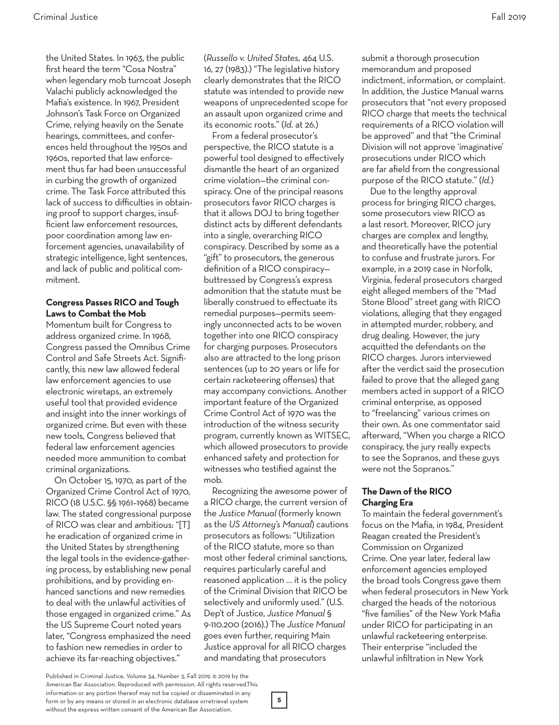the United States. In 1963, the public first heard the term "Cosa Nostra" when legendary mob turncoat Joseph Valachi publicly acknowledged the Mafia's existence. In 1967, President Johnson's Task Force on Organized Crime, relying heavily on the Senate hearings, committees, and conferences held throughout the 1950s and 1960s, reported that law enforcement thus far had been unsuccessful

in curbing the growth of organized crime. The Task Force attributed this lack of success to difficulties in obtaining proof to support charges, insufficient law enforcement resources, poor coordination among law enforcement agencies, unavailability of strategic intelligence, light sentences, and lack of public and political commitment.

#### **Congress Passes RICO and Tough Laws to Combat the Mob**

Momentum built for Congress to address organized crime. In 1968, Congress passed the Omnibus Crime Control and Safe Streets Act. Significantly, this new law allowed federal law enforcement agencies to use electronic wiretaps, an extremely useful tool that provided evidence and insight into the inner workings of organized crime. But even with these new tools, Congress believed that federal law enforcement agencies needed more ammunition to combat criminal organizations.

On October 15, 1970, as part of the Organized Crime Control Act of 1970, RICO (18 U.S.C. §§ 1961–1968) became law. The stated congressional purpose of RICO was clear and ambitious: "[T] he eradication of organized crime in the United States by strengthening the legal tools in the evidence-gathering process, by establishing new penal prohibitions, and by providing enhanced sanctions and new remedies to deal with the unlawful activities of those engaged in organized crime." As the US Supreme Court noted years later, "Congress emphasized the need to fashion new remedies in order to achieve its far-reaching objectives."

(*Russello v. United States,* 464 U.S. 16, 27 (1983).) "The legislative history clearly demonstrates that the RICO statute was intended to provide new weapons of unprecedented scope for an assault upon organized crime and its economic roots." (*Id.* at 26.)

From a federal prosecutor's perspective, the RICO statute is a powerful tool designed to effectively dismantle the heart of an organized crime violation—the criminal conspiracy. One of the principal reasons prosecutors favor RICO charges is that it allows DOJ to bring together distinct acts by different defendants into a single, overarching RICO conspiracy. Described by some as a "gift" to prosecutors, the generous definition of a RICO conspiracy buttressed by Congress's express admonition that the statute must be liberally construed to effectuate its remedial purposes—permits seemingly unconnected acts to be woven together into one RICO conspiracy for charging purposes. Prosecutors also are attracted to the long prison sentences (up to 20 years or life for certain racketeering offenses) that may accompany convictions. Another important feature of the Organized Crime Control Act of 1970 was the introduction of the witness security program, currently known as WITSEC, which allowed prosecutors to provide enhanced safety and protection for witnesses who testified against the mob.

Recognizing the awesome power of a RICO charge, the current version of the *Justice Manual* (formerly known as the *US Attorney's Manual*) cautions prosecutors as follows: "Utilization of the RICO statute, more so than most other federal criminal sanctions, requires particularly careful and reasoned application … it is the policy of the Criminal Division that RICO be selectively and uniformly used." (U.S. Dep't of Justice, *Justice Manual* § 9-110.200 (2016).) The *Justice Manual* goes even further, requiring Main Justice approval for all RICO charges and mandating that prosecutors

submit a thorough prosecution memorandum and proposed indictment, information, or complaint. In addition, the Justice Manual warns prosecutors that "not every proposed RICO charge that meets the technical requirements of a RICO violation will be approved" and that "the Criminal Division will not approve 'imaginative' prosecutions under RICO which are far afield from the congressional purpose of the RICO statute." (*Id.*)

Due to the lengthy approval process for bringing RICO charges, some prosecutors view RICO as a last resort. Moreover, RICO jury charges are complex and lengthy, and theoretically have the potential to confuse and frustrate jurors. For example, in a 2019 case in Norfolk, Virginia, federal prosecutors charged eight alleged members of the "Mad Stone Blood" street gang with RICO violations, alleging that they engaged in attempted murder, robbery, and drug dealing. However, the jury acquitted the defendants on the RICO charges. Jurors interviewed after the verdict said the prosecution failed to prove that the alleged gang members acted in support of a RICO criminal enterprise, as opposed to "freelancing" various crimes on their own. As one commentator said afterward, "When you charge a RICO conspiracy, the jury really expects to see the Sopranos, and these guys were not the Sopranos."

## **The Dawn of the RICO Charging Era**

To maintain the federal government's focus on the Mafia, in 1984, President Reagan created the President's Commission on Organized Crime. One year later, federal law enforcement agencies employed the broad tools Congress gave them when federal prosecutors in New York charged the heads of the notorious "five families" of the New York Mafia under RICO for participating in an unlawful racketeering enterprise. Their enterprise "included the unlawful infiltration in New York

Published in Criminal Justice, Volume 34, Number 3, Fall 2019. © 2019 by the American Bar Association. Reproduced with permission. All rights reserved.This information or any portion thereof may not be copied or disseminated in any form or by any means or stored in an electronic database orretrieval system without the express written consent of the American Bar Association.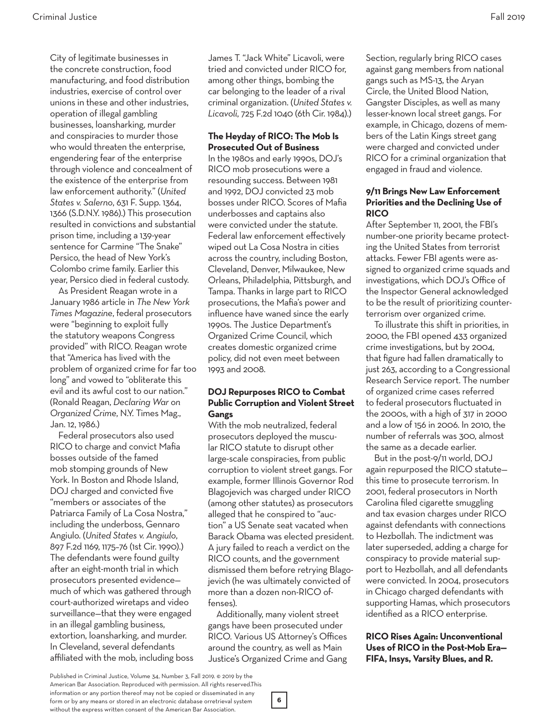City of legitimate businesses in the concrete construction, food manufacturing, and food distribution industries, exercise of control over unions in these and other industries, operation of illegal gambling businesses, loansharking, murder and conspiracies to murder those who would threaten the enterprise, engendering fear of the enterprise through violence and concealment of the existence of the enterprise from law enforcement authority." (*United States v. Salerno*, 631 F. Supp. 1364, 1366 (S.D.N.Y. 1986).) This prosecution resulted in convictions and substantial prison time, including a 139-year sentence for Carmine "The Snake" Persico, the head of New York's Colombo crime family. Earlier this year, Persico died in federal custody.

As President Reagan wrote in a January 1986 article in *The New York Times Magazine*, federal prosecutors were "beginning to exploit fully the statutory weapons Congress provided" with RICO. Reagan wrote that "America has lived with the problem of organized crime for far too long" and vowed to "obliterate this evil and its awful cost to our nation." (Ronald Reagan, *Declaring War on Organized Crime*, N.Y. Times Mag., Jan. 12, 1986.)

Federal prosecutors also used RICO to charge and convict Mafia bosses outside of the famed mob stomping grounds of New York. In Boston and Rhode Island, DOJ charged and convicted five "members or associates of the Patriarca Family of La Cosa Nostra," including the underboss, Gennaro Angiulo. (*United States v. Angiulo*, 897 F.2d 1169, 1175–76 (1st Cir. 1990).) The defendants were found guilty after an eight-month trial in which prosecutors presented evidence much of which was gathered through court-authorized wiretaps and video surveillance—that they were engaged in an illegal gambling business, extortion, loansharking, and murder. In Cleveland, several defendants affiliated with the mob, including boss

James T. "Jack White" Licavoli, were tried and convicted under RICO for, among other things, bombing the car belonging to the leader of a rival criminal organization. (*United States v. Licavoli*, 725 F.2d 1040 (6th Cir. 1984).)

#### **The Heyday of RICO: The Mob Is Prosecuted Out of Business**

In the 1980s and early 1990s, DOJ's RICO mob prosecutions were a resounding success. Between 1981 and 1992, DOJ convicted 23 mob bosses under RICO. Scores of Mafia underbosses and captains also were convicted under the statute. Federal law enforcement effectively wiped out La Cosa Nostra in cities across the country, including Boston, Cleveland, Denver, Milwaukee, New Orleans, Philadelphia, Pittsburgh, and Tampa. Thanks in large part to RICO prosecutions, the Mafia's power and influence have waned since the early 1990s. The Justice Department's Organized Crime Council, which creates domestic organized crime policy, did not even meet between 1993 and 2008.

## **DOJ Repurposes RICO to Combat Public Corruption and Violent Street Gangs**

With the mob neutralized, federal prosecutors deployed the muscular RICO statute to disrupt other large-scale conspiracies, from public corruption to violent street gangs. For example, former Illinois Governor Rod Blagojevich was charged under RICO (among other statutes) as prosecutors alleged that he conspired to "auction" a US Senate seat vacated when Barack Obama was elected president. A jury failed to reach a verdict on the RICO counts, and the government dismissed them before retrying Blagojevich (he was ultimately convicted of more than a dozen non-RICO offenses).

Additionally, many violent street gangs have been prosecuted under RICO. Various US Attorney's Offices around the country, as well as Main Justice's Organized Crime and Gang

**6**

Section, regularly bring RICO cases against gang members from national gangs such as MS-13, the Aryan Circle, the United Blood Nation, Gangster Disciples, as well as many lesser-known local street gangs. For example, in Chicago, dozens of members of the Latin Kings street gang were charged and convicted under RICO for a criminal organization that engaged in fraud and violence.

## **9/11 Brings New Law Enforcement Priorities and the Declining Use of RICO**

After September 11, 2001, the FBI's number-one priority became protecting the United States from terrorist attacks. Fewer FBI agents were assigned to organized crime squads and investigations, which DOJ's Office of the Inspector General acknowledged to be the result of prioritizing counterterrorism over organized crime.

To illustrate this shift in priorities, in 2000, the FBI opened 433 organized crime investigations, but by 2004, that figure had fallen dramatically to just 263, according to a Congressional Research Service report. The number of organized crime cases referred to federal prosecutors fluctuated in the 2000s, with a high of 317 in 2000 and a low of 156 in 2006. In 2010, the number of referrals was 300, almost the same as a decade earlier.

But in the post-9/11 world, DOJ again repurposed the RICO statute this time to prosecute terrorism. In 2001, federal prosecutors in North Carolina filed cigarette smuggling and tax evasion charges under RICO against defendants with connections to Hezbollah. The indictment was later superseded, adding a charge for conspiracy to provide material support to Hezbollah, and all defendants were convicted. In 2004, prosecutors in Chicago charged defendants with supporting Hamas, which prosecutors identified as a RICO enterprise.

#### **RICO Rises Again: Unconventional Uses of RICO in the Post-Mob Era— FIFA, Insys, Varsity Blues, and R.**

Published in Criminal Justice, Volume 34, Number 3, Fall 2019. © 2019 by the American Bar Association. Reproduced with permission. All rights reserved.This information or any portion thereof may not be copied or disseminated in any form or by any means or stored in an electronic database orretrieval system without the express written consent of the American Bar Association.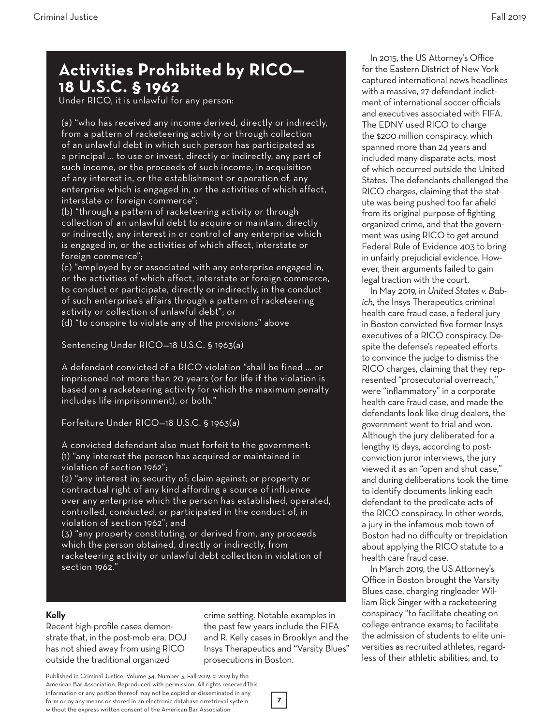# **Activities Prohibited by RICO— 18 U.S.C. § 1962**

Under RICO, it is unlawful for any person:

(a) "who has received any income derived, directly or indirectly, from a pattern of racketeering activity or through collection of an unlawful debt in which such person has participated as a principal … to use or invest, directly or indirectly, any part of such income, or the proceeds of such income, in acquisition of any interest in, or the establishment or operation of, any enterprise which is engaged in, or the activities of which affect, interstate or foreign commerce";

(b) "through a pattern of racketeering activity or through collection of an unlawful debt to acquire or maintain, directly or indirectly, any interest in or control of any enterprise which is engaged in, or the activities of which affect, interstate or foreign commerce";

(c) "employed by or associated with any enterprise engaged in, or the activities of which affect, interstate or foreign commerce, to conduct or participate, directly or indirectly, in the conduct of such enterprise's affairs through a pattern of racketeering activity or collection of unlawful debt"; or

(d) "to conspire to violate any of the provisions" above

Sentencing Under RICO—18 U.S.C. § 1963(a)

A defendant convicted of a RICO violation "shall be fined … or imprisoned not more than 20 years (or for life if the violation is based on a racketeering activity for which the maximum penalty includes life imprisonment), or both."

Forfeiture Under RICO—18 U.S.C. § 1963(a)

A convicted defendant also must forfeit to the government: (1) "any interest the person has acquired or maintained in violation of section 1962";

(2) "any interest in; security of; claim against; or property or contractual right of any kind affording a source of influence over any enterprise which the person has established, operated, controlled, conducted, or participated in the conduct of, in violation of section 1962"; and

(3) "any property constituting, or derived from, any proceeds which the person obtained, directly or indirectly, from racketeering activity or unlawful debt collection in violation of section 1962."

## **Kelly**

Recent high-profile cases demonstrate that, in the post-mob era, DOJ has not shied away from using RICO outside the traditional organized

crime setting. Notable examples in the past few years include the FIFA and R. Kelly cases in Brooklyn and the Insys Therapeutics and "Varsity Blues" prosecutions in Boston.

Published in Criminal Justice, Volume 34, Number 3, Fall 2019. © 2019 by the American Bar Association. Reproduced with permission. All rights reserved.This information or any portion thereof may not be copied or disseminated in any form or by any means or stored in an electronic database orretrieval system without the express written consent of the American Bar Association.

In 2015, the US Attorney's Office for the Eastern District of New York captured international news headlines with a massive, 27-defendant indictment of international soccer officials and executives associated with FIFA. The EDNY used RICO to charge the \$200 million conspiracy, which spanned more than 24 years and included many disparate acts, most of which occurred outside the United States. The defendants challenged the RICO charges, claiming that the statute was being pushed too far afield from its original purpose of fighting organized crime, and that the government was using RICO to get around Federal Rule of Evidence 403 to bring in unfairly prejudicial evidence. However, their arguments failed to gain legal traction with the court.

In May 2019, in *United States v. Babich*, the Insys Therapeutics criminal health care fraud case, a federal jury in Boston convicted five former Insys executives of a RICO conspiracy. Despite the defense's repeated efforts to convince the judge to dismiss the RICO charges, claiming that they represented "prosecutorial overreach," were "inflammatory" in a corporate health care fraud case, and made the defendants look like drug dealers, the government went to trial and won. Although the jury deliberated for a lengthy 15 days, according to postconviction juror interviews, the jury viewed it as an "open and shut case," and during deliberations took the time to identify documents linking each defendant to the predicate acts of the RICO conspiracy. In other words, a jury in the infamous mob town of Boston had no difficulty or trepidation about applying the RICO statute to a health care fraud case.

In March 2019, the US Attorney's Office in Boston brought the Varsity Blues case, charging ringleader William Rick Singer with a racketeering conspiracy "to facilitate cheating on college entrance exams; to facilitate the admission of students to elite universities as recruited athletes, regardless of their athletic abilities; and, to

**7**